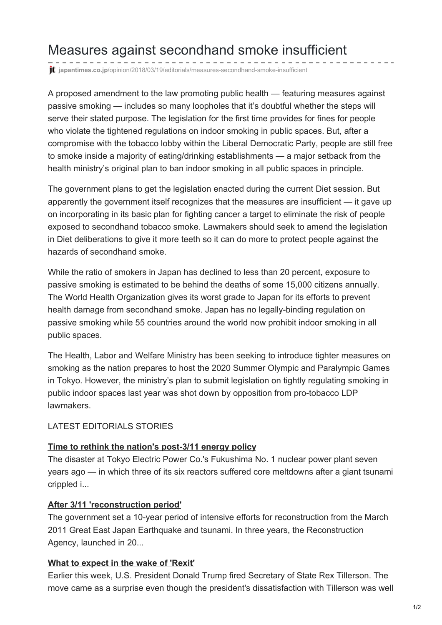# Measures against secondhand smoke insufficient

**it** japantimes.co.jp[/opinion/2018/03/19/editorials/measures-secondhand-smoke-insufficient](https://www.japantimes.co.jp/opinion/2018/03/19/editorials/measures-secondhand-smoke-insufficient/#.WrDVz5e-l2F)

A proposed amendment to the law promoting public health — featuring measures against passive smoking — includes so many loopholes that it's doubtful whether the steps will serve their stated purpose. The legislation for the first time provides for fines for people who violate the tightened regulations on indoor smoking in public spaces. But, after a compromise with the tobacco lobby within the Liberal Democratic Party, people are still free to smoke inside a majority of eating/drinking establishments — a major setback from the health ministry's original plan to ban indoor smoking in all public spaces in principle.

The government plans to get the legislation enacted during the current Diet session. But apparently the government itself recognizes that the measures are insufficient — it gave up on incorporating in its basic plan for fighting cancer a target to eliminate the risk of people exposed to secondhand tobacco smoke. Lawmakers should seek to amend the legislation in Diet deliberations to give it more teeth so it can do more to protect people against the hazards of secondhand smoke.

While the ratio of smokers in Japan has declined to less than 20 percent, exposure to passive smoking is estimated to be behind the deaths of some 15,000 citizens annually. The World Health Organization gives its worst grade to Japan for its efforts to prevent health damage from secondhand smoke. Japan has no legally-binding regulation on passive smoking while 55 countries around the world now prohibit indoor smoking in all public spaces.

The Health, Labor and Welfare Ministry has been seeking to introduce tighter measures on smoking as the nation prepares to host the 2020 Summer Olympic and Paralympic Games in Tokyo. However, the ministry's plan to submit legislation on tightly regulating smoking in public indoor spaces last year was shot down by opposition from pro-tobacco LDP lawmakers.

## LATEST EDITORIALS STORIES

## **Time to rethink the nation's [post-3/11](https://www.japantimes.co.jp/opinion/2018/03/18/editorials/time-rethink-nations-post-3-11-energy-policy/) energy policy**

The disaster at Tokyo Electric Power Co.'s Fukushima No. 1 nuclear power plant seven years ago — in which three of its six reactors suffered core meltdowns after a giant tsunami crippled i...

## **After 3/11 ['reconstruction](https://www.japantimes.co.jp/opinion/2018/03/17/editorials/3-11-reconstruction-period/) period'**

The government set a 10-year period of intensive efforts for reconstruction from the March 2011 Great East Japan Earthquake and tsunami. In three years, the Reconstruction Agency, launched in 20...

## **What to [expect](https://www.japantimes.co.jp/opinion/2018/03/16/editorials/expect-wake-rexit/) in the wake of 'Rexit'**

Earlier this week, U.S. President Donald Trump fired Secretary of State Rex Tillerson. The move came as a surprise even though the president's dissatisfaction with Tillerson was well